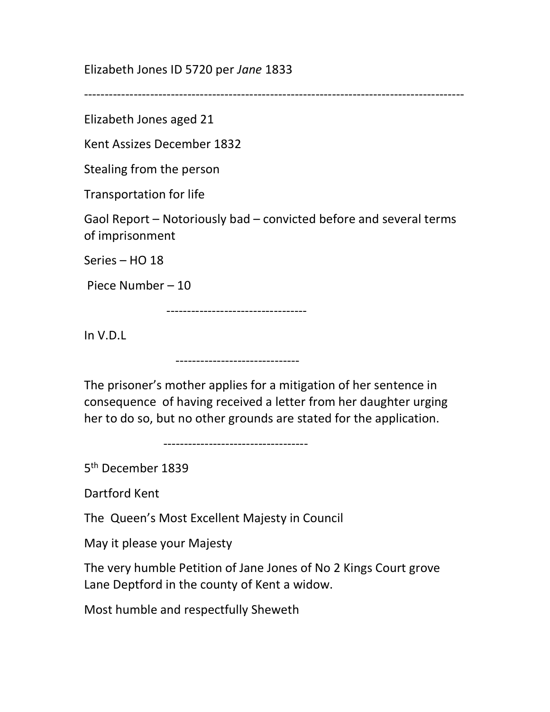Elizabeth Jones ID 5720 per Jane 1833

--------------------------------------------------------------------------------------------

Elizabeth Jones aged 21

Kent Assizes December 1832

Stealing from the person

Transportation for life

Gaol Report – Notoriously bad – convicted before and several terms of imprisonment

Series – HO 18

Piece Number – 10

----------------------------------

In V.D.L

------------------------------

The prisoner's mother applies for a mitigation of her sentence in consequence of having received a letter from her daughter urging her to do so, but no other grounds are stated for the application.

-----------------------------------

5 th December 1839

Dartford Kent

The Queen's Most Excellent Majesty in Council

May it please your Majesty

The very humble Petition of Jane Jones of No 2 Kings Court grove Lane Deptford in the county of Kent a widow.

Most humble and respectfully Sheweth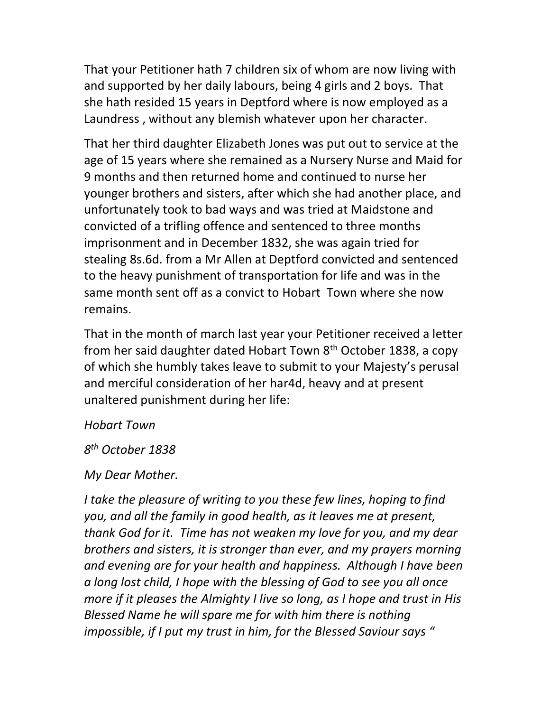That your Petitioner hath 7 children six of whom are now living with and supported by her daily labours, being 4 girls and 2 boys. That she hath resided 15 years in Deptford where is now employed as a Laundress , without any blemish whatever upon her character.

That her third daughter Elizabeth Jones was put out to service at the age of 15 years where she remained as a Nursery Nurse and Maid for 9 months and then returned home and continued to nurse her younger brothers and sisters, after which she had another place, and unfortunately took to bad ways and was tried at Maidstone and convicted of a trifling offence and sentenced to three months imprisonment and in December 1832, she was again tried for stealing 8s.6d. from a Mr Allen at Deptford convicted and sentenced to the heavy punishment of transportation for life and was in the same month sent off as a convict to Hobart Town where she now remains.

That in the month of march last year your Petitioner received a letter from her said daughter dated Hobart Town 8<sup>th</sup> October 1838, a copy of which she humbly takes leave to submit to your Majesty's perusal and merciful consideration of her har4d, heavy and at present unaltered punishment during her life:

## Hobart Town

8 th October 1838

My Dear Mother.

I take the pleasure of writing to you these few lines, hoping to find you, and all the family in good health, as it leaves me at present, thank God for it. Time has not weaken my love for you, and my dear brothers and sisters, it is stronger than ever, and my prayers morning and evening are for your health and happiness. Although I have been a long lost child, I hope with the blessing of God to see you all once more if it pleases the Almighty I live so long, as I hope and trust in His Blessed Name he will spare me for with him there is nothing impossible, if I put my trust in him, for the Blessed Saviour says "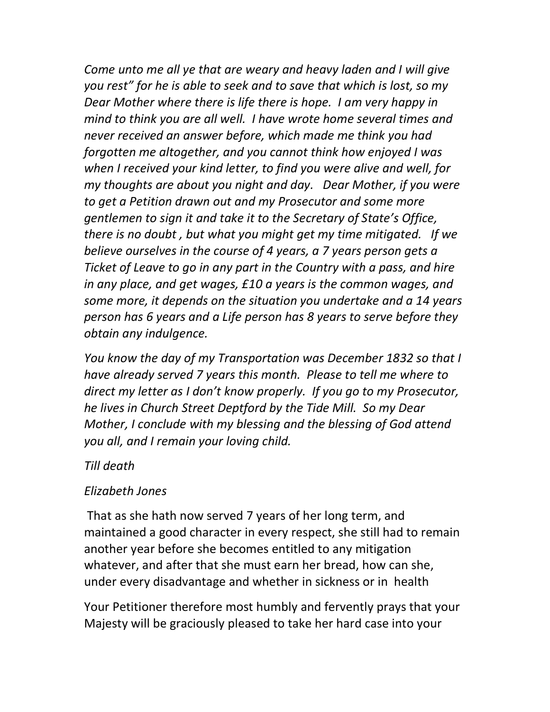Come unto me all ye that are weary and heavy laden and I will give you rest" for he is able to seek and to save that which is lost, so my Dear Mother where there is life there is hope. I am very happy in mind to think you are all well. I have wrote home several times and never received an answer before, which made me think you had forgotten me altogether, and you cannot think how enjoyed I was when I received your kind letter, to find you were alive and well, for my thoughts are about you night and day. Dear Mother, if you were to get a Petition drawn out and my Prosecutor and some more gentlemen to sign it and take it to the Secretary of State's Office, there is no doubt , but what you might get my time mitigated. If we believe ourselves in the course of 4 years, a 7 years person gets a Ticket of Leave to go in any part in the Country with a pass, and hire in any place, and get wages, £10 a years is the common wages, and some more, it depends on the situation you undertake and a 14 years person has 6 years and a Life person has 8 years to serve before they obtain any indulgence.

You know the day of my Transportation was December 1832 so that I have already served 7 years this month. Please to tell me where to direct my letter as I don't know properly. If you go to my Prosecutor, he lives in Church Street Deptford by the Tide Mill. So my Dear Mother, I conclude with my blessing and the blessing of God attend you all, and I remain your loving child.

## Till death

## Elizabeth Jones

 That as she hath now served 7 years of her long term, and maintained a good character in every respect, she still had to remain another year before she becomes entitled to any mitigation whatever, and after that she must earn her bread, how can she, under every disadvantage and whether in sickness or in health

Your Petitioner therefore most humbly and fervently prays that your Majesty will be graciously pleased to take her hard case into your